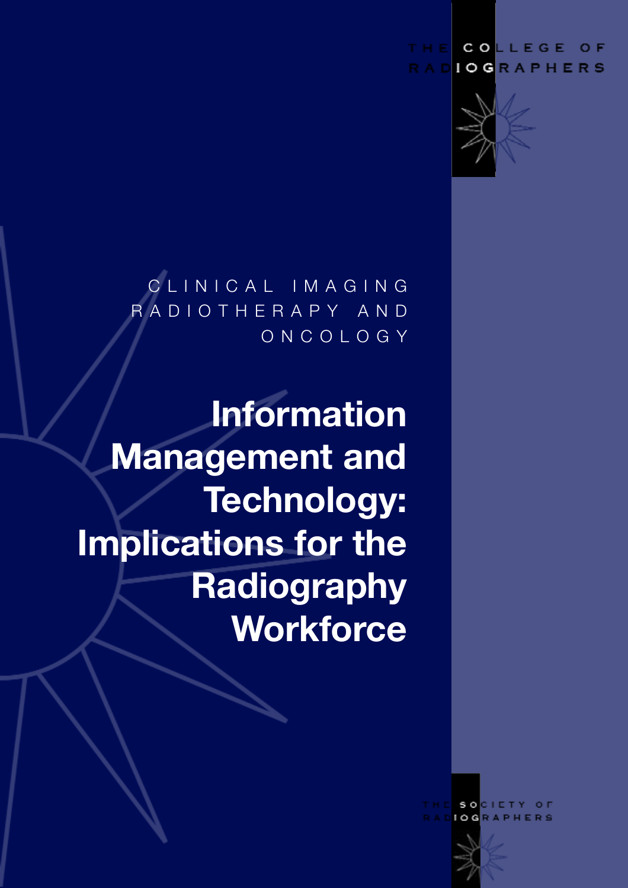# THE COLLEGE OF **RADIOGRAPHERS**



CLINICAL IMAGING RADIOTHERAPY AND ONCOLOGY

**Information Management and Technology: Implications for the Radiography Workforce** 

> SOCIETY . **OCRAPHERS**

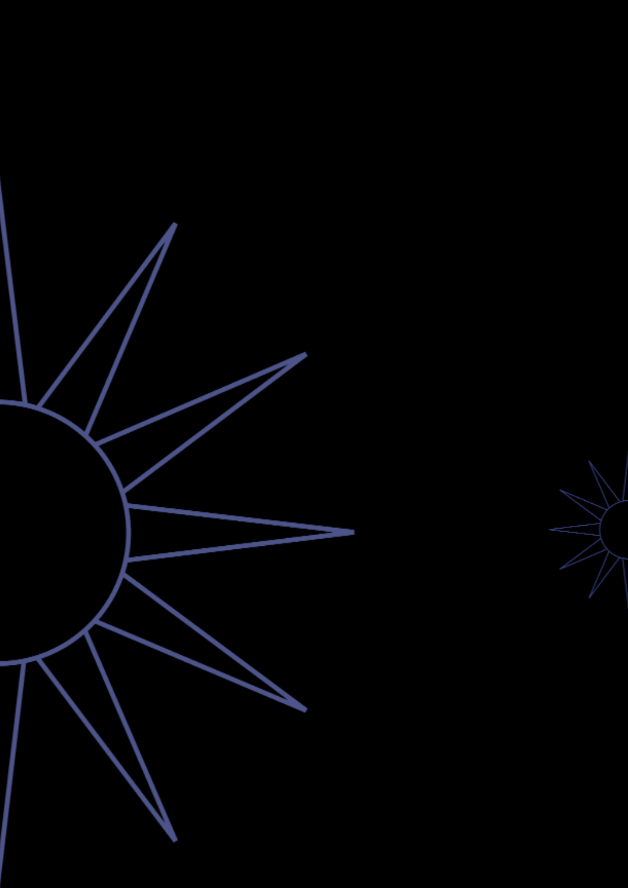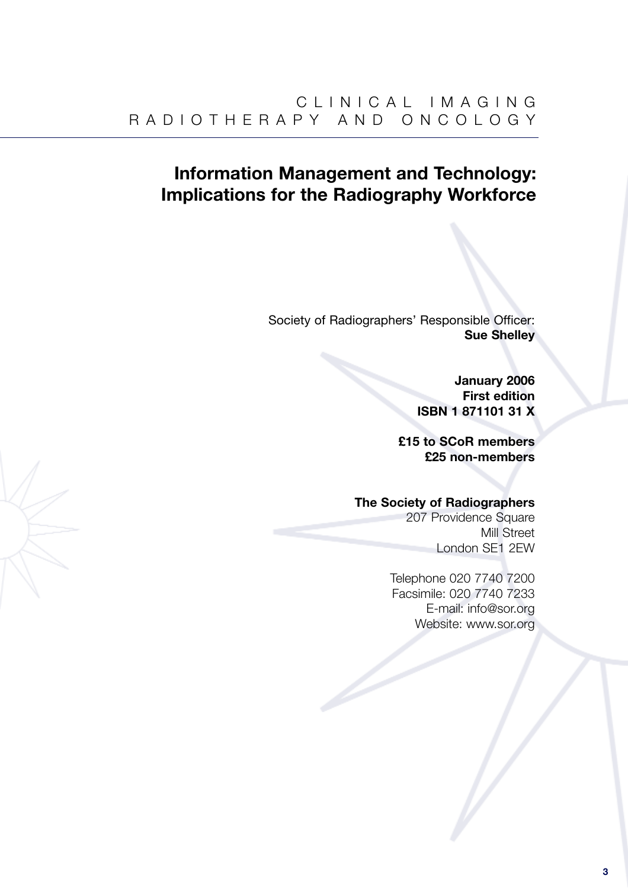# CLINICAL IMAGING RADIOTHERAPY AND ONCOLOGY

# **Information Management and Technology: Implications for the Radiography Workforce**

Society of Radiographers' Responsible Officer: **Sue Shelley**

> **January 2006 First edition ISBN 1 871101 31 X**

**£15 to SCoR members £25 non-members**

## **The Society of Radiographers**

207 Providence Square Mill Street London SE1 2EW

Telephone 020 7740 7200 Facsimile: 020 7740 7233 E-mail: info@sor.org Website: www.sor.org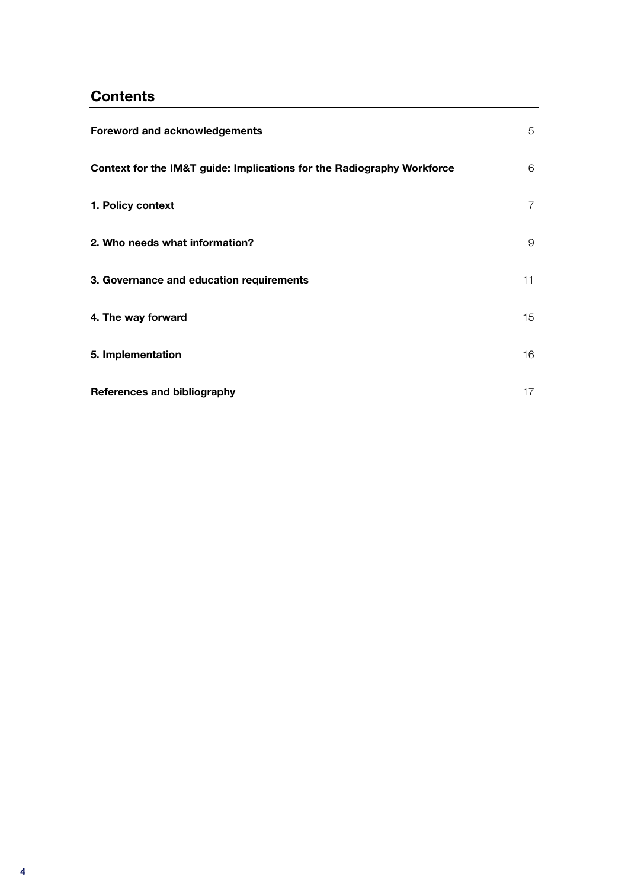## **Contents**

| <b>Foreword and acknowledgements</b>                                   | 5                |
|------------------------------------------------------------------------|------------------|
| Context for the IM&T guide: Implications for the Radiography Workforce | 6                |
| 1. Policy context                                                      | $\overline{7}$   |
| 2. Who needs what information?                                         | 9                |
| 3. Governance and education requirements                               | 11               |
| 4. The way forward                                                     | 15 <sup>15</sup> |
| 5. Implementation                                                      | 16               |
| References and bibliography                                            | 17               |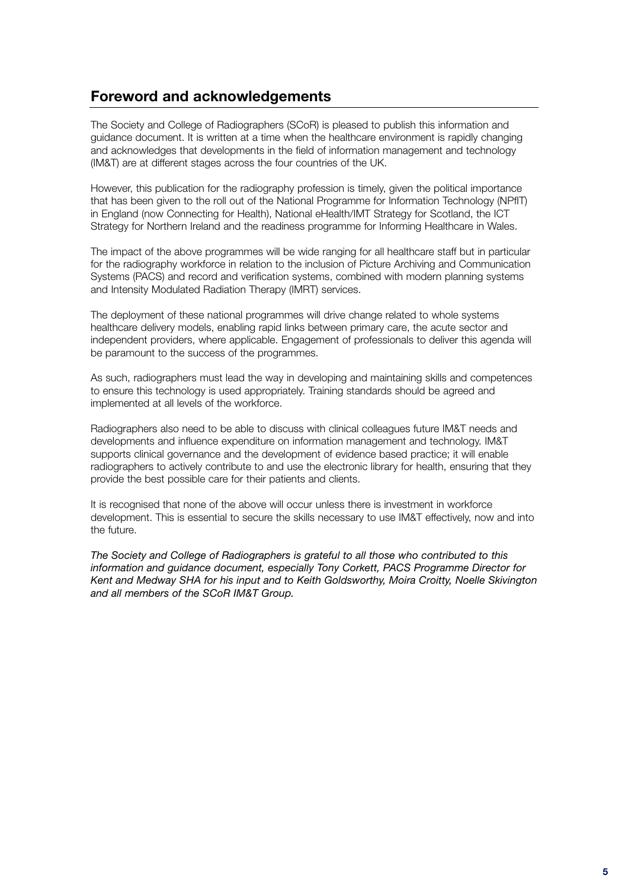## **Foreword and acknowledgements**

The Society and College of Radiographers (SCoR) is pleased to publish this information and guidance document. It is written at a time when the healthcare environment is rapidly changing and acknowledges that developments in the field of information management and technology (IM&T) are at different stages across the four countries of the UK.

However, this publication for the radiography profession is timely, given the political importance that has been given to the roll out of the National Programme for Information Technology (NPfIT) in England (now Connecting for Health), National eHealth/IMT Strategy for Scotland, the ICT Strategy for Northern Ireland and the readiness programme for Informing Healthcare in Wales.

The impact of the above programmes will be wide ranging for all healthcare staff but in particular for the radiography workforce in relation to the inclusion of Picture Archiving and Communication Systems (PACS) and record and verification systems, combined with modern planning systems and Intensity Modulated Radiation Therapy (IMRT) services.

The deployment of these national programmes will drive change related to whole systems healthcare delivery models, enabling rapid links between primary care, the acute sector and independent providers, where applicable. Engagement of professionals to deliver this agenda will be paramount to the success of the programmes.

As such, radiographers must lead the way in developing and maintaining skills and competences to ensure this technology is used appropriately. Training standards should be agreed and implemented at all levels of the workforce.

Radiographers also need to be able to discuss with clinical colleagues future IM&T needs and developments and influence expenditure on information management and technology. IM&T supports clinical governance and the development of evidence based practice; it will enable radiographers to actively contribute to and use the electronic library for health, ensuring that they provide the best possible care for their patients and clients.

It is recognised that none of the above will occur unless there is investment in workforce development. This is essential to secure the skills necessary to use IM&T effectively, now and into the future.

*The Society and College of Radiographers is grateful to all those who contributed to this information and guidance document, especially Tony Corkett, PACS Programme Director for Kent and Medway SHA for his input and to Keith Goldsworthy, Moira Croitty, Noelle Skivington and all members of the SCoR IM&T Group.*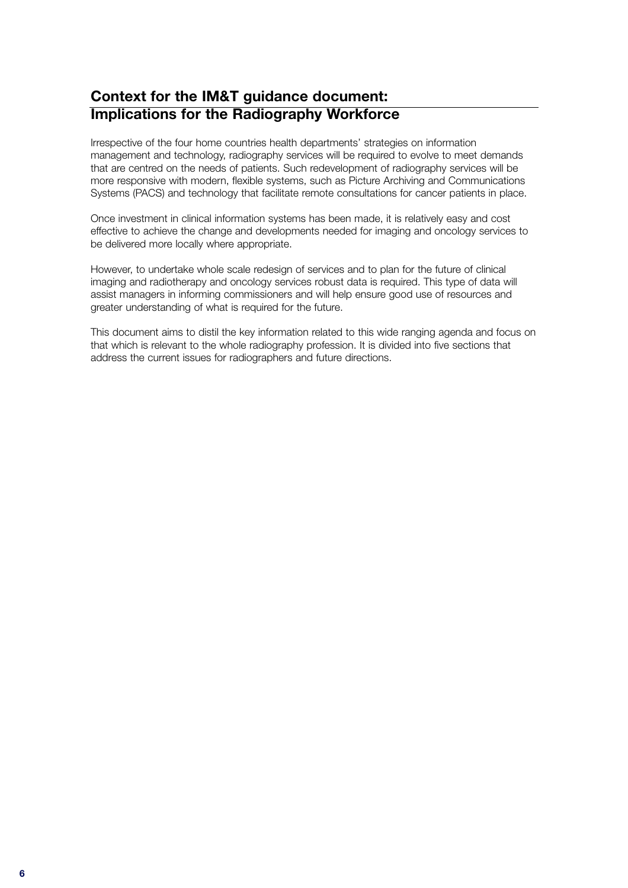## **Context for the IM&T guidance document: Implications for the Radiography Workforce**

Irrespective of the four home countries health departments' strategies on information management and technology, radiography services will be required to evolve to meet demands that are centred on the needs of patients. Such redevelopment of radiography services will be more responsive with modern, flexible systems, such as Picture Archiving and Communications Systems (PACS) and technology that facilitate remote consultations for cancer patients in place.

Once investment in clinical information systems has been made, it is relatively easy and cost effective to achieve the change and developments needed for imaging and oncology services to be delivered more locally where appropriate.

However, to undertake whole scale redesign of services and to plan for the future of clinical imaging and radiotherapy and oncology services robust data is required. This type of data will assist managers in informing commissioners and will help ensure good use of resources and greater understanding of what is required for the future.

This document aims to distil the key information related to this wide ranging agenda and focus on that which is relevant to the whole radiography profession. It is divided into five sections that address the current issues for radiographers and future directions.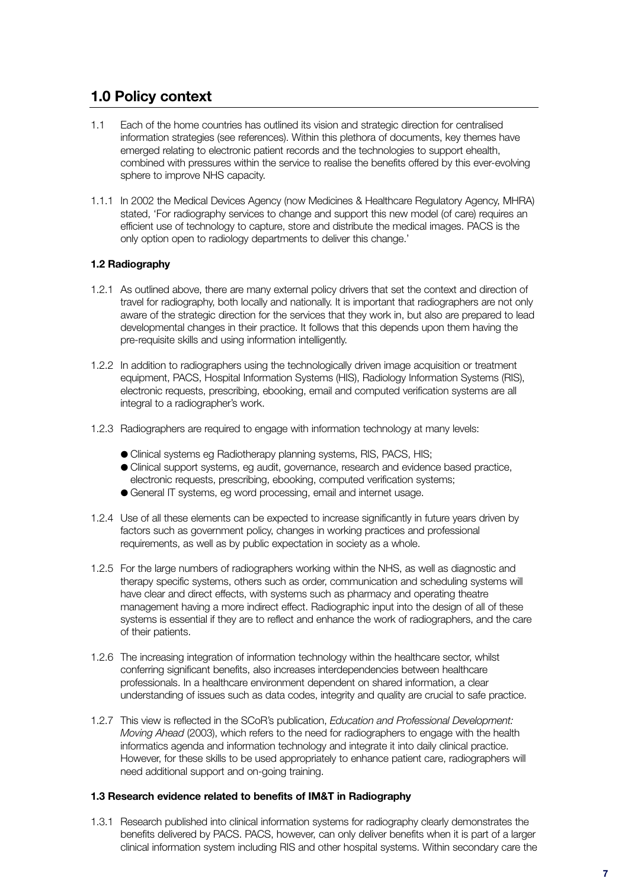## **1.0 Policy context**

- 1.1 Each of the home countries has outlined its vision and strategic direction for centralised information strategies (see references). Within this plethora of documents, key themes have emerged relating to electronic patient records and the technologies to support ehealth, combined with pressures within the service to realise the benefits offered by this ever-evolving sphere to improve NHS capacity.
- 1.1.1 In 2002 the Medical Devices Agency (now Medicines & Healthcare Regulatory Agency, MHRA) stated, 'For radiography services to change and support this new model (of care) requires an efficient use of technology to capture, store and distribute the medical images. PACS is the only option open to radiology departments to deliver this change.'

### **1.2 Radiography**

- 1.2.1 As outlined above, there are many external policy drivers that set the context and direction of travel for radiography, both locally and nationally. It is important that radiographers are not only aware of the strategic direction for the services that they work in, but also are prepared to lead developmental changes in their practice. It follows that this depends upon them having the pre-requisite skills and using information intelligently.
- 1.2.2 In addition to radiographers using the technologically driven image acquisition or treatment equipment, PACS, Hospital Information Systems (HIS), Radiology Information Systems (RIS), electronic requests, prescribing, ebooking, email and computed verification systems are all integral to a radiographer's work.
- 1.2.3 Radiographers are required to engage with information technology at many levels:
	- Clinical systems eg Radiotherapy planning systems, RIS, PACS, HIS;
	- Clinical support systems, eg audit, governance, research and evidence based practice, electronic requests, prescribing, ebooking, computed verification systems;
	- General IT systems, eg word processing, email and internet usage.
- 1.2.4 Use of all these elements can be expected to increase significantly in future years driven by factors such as government policy, changes in working practices and professional requirements, as well as by public expectation in society as a whole.
- 1.2.5 For the large numbers of radiographers working within the NHS, as well as diagnostic and therapy specific systems, others such as order, communication and scheduling systems will have clear and direct effects, with systems such as pharmacy and operating theatre management having a more indirect effect. Radiographic input into the design of all of these systems is essential if they are to reflect and enhance the work of radiographers, and the care of their patients.
- 1.2.6 The increasing integration of information technology within the healthcare sector, whilst conferring significant benefits, also increases interdependencies between healthcare professionals. In a healthcare environment dependent on shared information, a clear understanding of issues such as data codes, integrity and quality are crucial to safe practice.
- 1.2.7 This view is reflected in the SCoR's publication, *Education and Professional Development: Moving Ahead* (2003), which refers to the need for radiographers to engage with the health informatics agenda and information technology and integrate it into daily clinical practice. However, for these skills to be used appropriately to enhance patient care, radiographers will need additional support and on-going training.

### **1.3 Research evidence related to benefits of IM&T in Radiography**

1.3.1 Research published into clinical information systems for radiography clearly demonstrates the benefits delivered by PACS. PACS, however, can only deliver benefits when it is part of a larger clinical information system including RIS and other hospital systems. Within secondary care the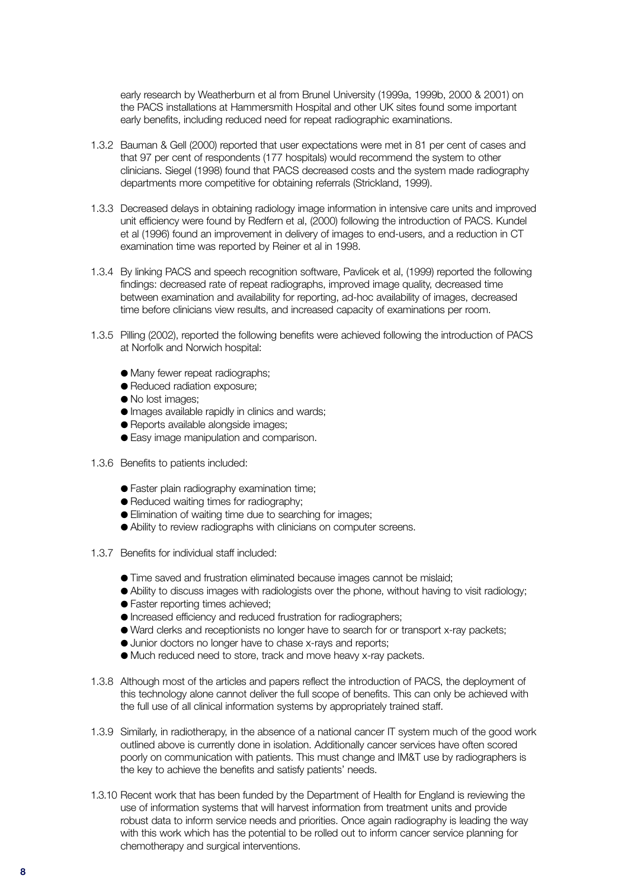early research by Weatherburn et al from Brunel University (1999a, 1999b, 2000 & 2001) on the PACS installations at Hammersmith Hospital and other UK sites found some important early benefits, including reduced need for repeat radiographic examinations.

- 1.3.2 Bauman & Gell (2000) reported that user expectations were met in 81 per cent of cases and that 97 per cent of respondents (177 hospitals) would recommend the system to other clinicians. Siegel (1998) found that PACS decreased costs and the system made radiography departments more competitive for obtaining referrals (Strickland, 1999).
- 1.3.3 Decreased delays in obtaining radiology image information in intensive care units and improved unit efficiency were found by Redfern et al, (2000) following the introduction of PACS. Kundel et al (1996) found an improvement in delivery of images to end-users, and a reduction in CT examination time was reported by Reiner et al in 1998.
- 1.3.4 By linking PACS and speech recognition software, Pavlicek et al, (1999) reported the following findings: decreased rate of repeat radiographs, improved image quality, decreased time between examination and availability for reporting, ad-hoc availability of images, decreased time before clinicians view results, and increased capacity of examinations per room.
- 1.3.5 Pilling (2002), reported the following benefits were achieved following the introduction of PACS at Norfolk and Norwich hospital:
	- Many fewer repeat radiographs;
	- Reduced radiation exposure;
	- No lost images;
	- $\bullet$  Images available rapidly in clinics and wards;
	- Reports available alongside images;
	- Easy image manipulation and comparison.
- 1.3.6 Benefits to patients included:
	- Faster plain radiography examination time;
	- Reduced waiting times for radiography;
	- Elimination of waiting time due to searching for images;
	- Ability to review radiographs with clinicians on computer screens.
- 1.3.7 Benefits for individual staff included:
	- Time saved and frustration eliminated because images cannot be mislaid;
	- Ability to discuss images with radiologists over the phone, without having to visit radiology;
	- Faster reporting times achieved;
	- Increased efficiency and reduced frustration for radiographers;
	- Ward clerks and receptionists no longer have to search for or transport x-ray packets;
	- Junior doctors no longer have to chase x-rays and reports;
	- Much reduced need to store, track and move heavy x-ray packets.
- 1.3.8 Although most of the articles and papers reflect the introduction of PACS, the deployment of this technology alone cannot deliver the full scope of benefits. This can only be achieved with the full use of all clinical information systems by appropriately trained staff.
- 1.3.9 Similarly, in radiotherapy, in the absence of a national cancer IT system much of the good work outlined above is currently done in isolation. Additionally cancer services have often scored poorly on communication with patients. This must change and IM&T use by radiographers is the key to achieve the benefits and satisfy patients' needs.
- 1.3.10 Recent work that has been funded by the Department of Health for England is reviewing the use of information systems that will harvest information from treatment units and provide robust data to inform service needs and priorities. Once again radiography is leading the way with this work which has the potential to be rolled out to inform cancer service planning for chemotherapy and surgical interventions.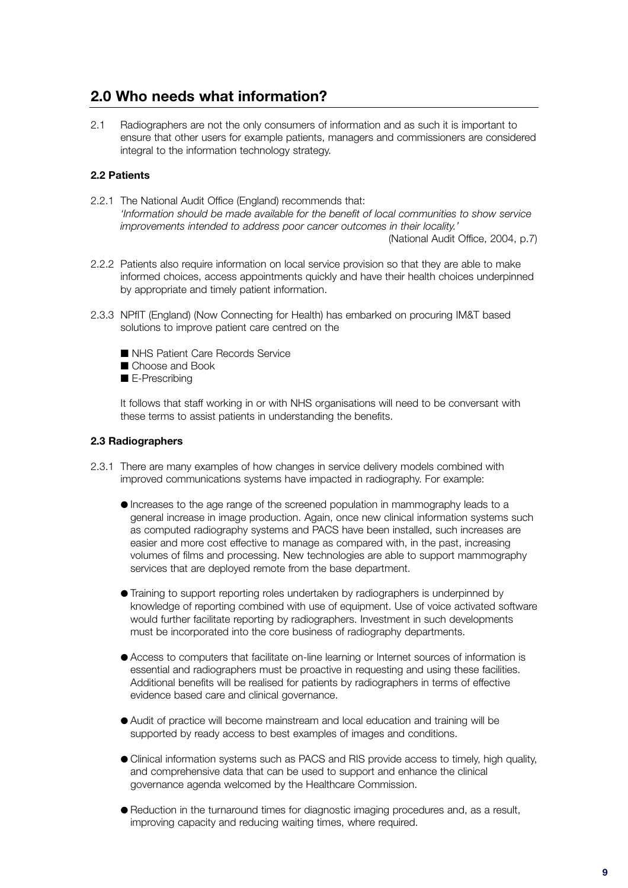## **2.0 Who needs what information?**

2.1 Radiographers are not the only consumers of information and as such it is important to ensure that other users for example patients, managers and commissioners are considered integral to the information technology strategy.

## **2.2 Patients**

2.2.1 The National Audit Office (England) recommends that: *'Information should be made available for the benefit of local communities to show service improvements intended to address poor cancer outcomes in their locality.'*

(National Audit Office, 2004, p.7)

- 2.2.2 Patients also require information on local service provision so that they are able to make informed choices, access appointments quickly and have their health choices underpinned by appropriate and timely patient information.
- 2.3.3 NPfIT (England) (Now Connecting for Health) has embarked on procuring IM&T based solutions to improve patient care centred on the
	- NHS Patient Care Records Service
	- Choose and Book
	- E-Prescribing

It follows that staff working in or with NHS organisations will need to be conversant with these terms to assist patients in understanding the benefits.

### **2.3 Radiographers**

- 2.3.1 There are many examples of how changes in service delivery models combined with improved communications systems have impacted in radiography. For example:
	- Increases to the age range of the screened population in mammography leads to a general increase in image production. Again, once new clinical information systems such as computed radiography systems and PACS have been installed, such increases are easier and more cost effective to manage as compared with, in the past, increasing volumes of films and processing. New technologies are able to support mammography services that are deployed remote from the base department.
	- Training to support reporting roles undertaken by radiographers is underpinned by knowledge of reporting combined with use of equipment. Use of voice activated software would further facilitate reporting by radiographers. Investment in such developments must be incorporated into the core business of radiography departments.
	- Access to computers that facilitate on-line learning or Internet sources of information is essential and radiographers must be proactive in requesting and using these facilities. Additional benefits will be realised for patients by radiographers in terms of effective evidence based care and clinical governance.
	- Audit of practice will become mainstream and local education and training will be supported by ready access to best examples of images and conditions.
	- Clinical information systems such as PACS and RIS provide access to timely, high quality, and comprehensive data that can be used to support and enhance the clinical governance agenda welcomed by the Healthcare Commission.
	- Reduction in the turnaround times for diagnostic imaging procedures and, as a result, improving capacity and reducing waiting times, where required.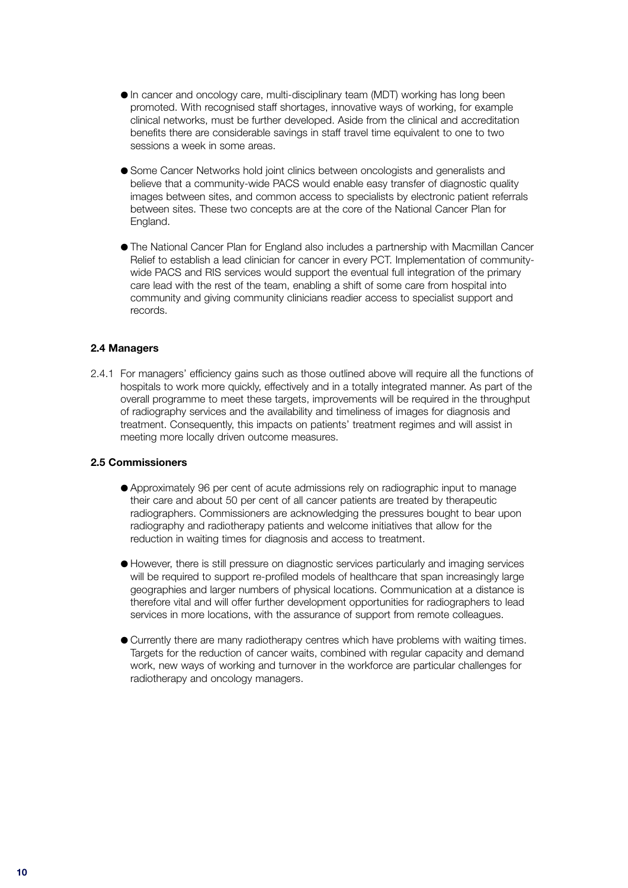- In cancer and oncology care, multi-disciplinary team (MDT) working has long been promoted. With recognised staff shortages, innovative ways of working, for example clinical networks, must be further developed. Aside from the clinical and accreditation benefits there are considerable savings in staff travel time equivalent to one to two sessions a week in some areas.
- Some Cancer Networks hold joint clinics between oncologists and generalists and believe that a community-wide PACS would enable easy transfer of diagnostic quality images between sites, and common access to specialists by electronic patient referrals between sites. These two concepts are at the core of the National Cancer Plan for England.
- The National Cancer Plan for England also includes a partnership with Macmillan Cancer Relief to establish a lead clinician for cancer in every PCT. Implementation of communitywide PACS and RIS services would support the eventual full integration of the primary care lead with the rest of the team, enabling a shift of some care from hospital into community and giving community clinicians readier access to specialist support and records.

#### **2.4 Managers**

2.4.1 For managers' efficiency gains such as those outlined above will require all the functions of hospitals to work more quickly, effectively and in a totally integrated manner. As part of the overall programme to meet these targets, improvements will be required in the throughput of radiography services and the availability and timeliness of images for diagnosis and treatment. Consequently, this impacts on patients' treatment regimes and will assist in meeting more locally driven outcome measures.

### **2.5 Commissioners**

- Approximately 96 per cent of acute admissions rely on radiographic input to manage their care and about 50 per cent of all cancer patients are treated by therapeutic radiographers. Commissioners are acknowledging the pressures bought to bear upon radiography and radiotherapy patients and welcome initiatives that allow for the reduction in waiting times for diagnosis and access to treatment.
- However, there is still pressure on diagnostic services particularly and imaging services will be required to support re-profiled models of healthcare that span increasingly large geographies and larger numbers of physical locations. Communication at a distance is therefore vital and will offer further development opportunities for radiographers to lead services in more locations, with the assurance of support from remote colleagues.
- Currently there are many radiotherapy centres which have problems with waiting times. Targets for the reduction of cancer waits, combined with regular capacity and demand work, new ways of working and turnover in the workforce are particular challenges for radiotherapy and oncology managers.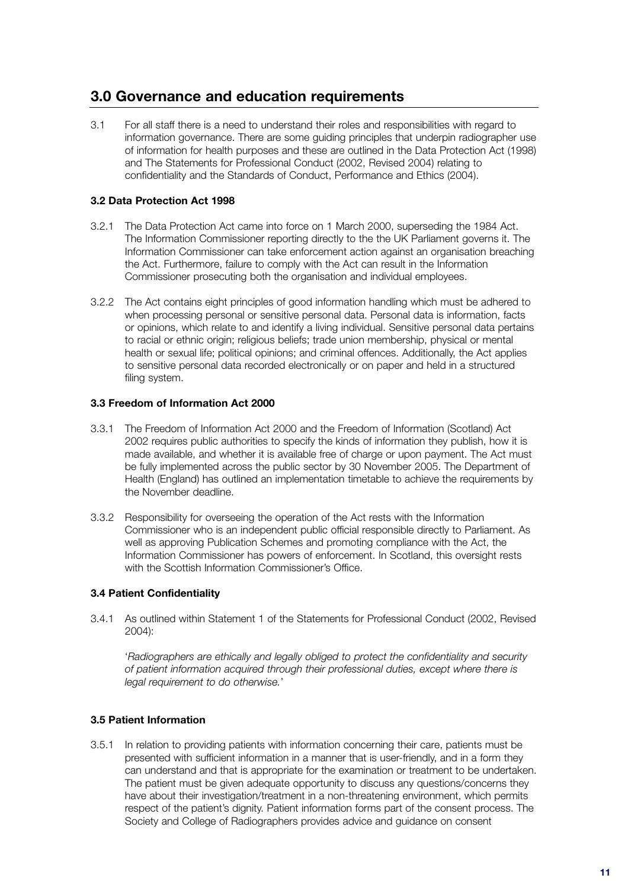## **3.0 Governance and education requirements**

3.1 For all staff there is a need to understand their roles and responsibilities with regard to information governance. There are some guiding principles that underpin radiographer use of information for health purposes and these are outlined in the Data Protection Act (1998) and The Statements for Professional Conduct (2002, Revised 2004) relating to confidentiality and the Standards of Conduct, Performance and Ethics (2004).

## **3.2 Data Protection Act 1998**

- 3.2.1 The Data Protection Act came into force on 1 March 2000, superseding the 1984 Act. The Information Commissioner reporting directly to the the UK Parliament governs it. The Information Commissioner can take enforcement action against an organisation breaching the Act. Furthermore, failure to comply with the Act can result in the Information Commissioner prosecuting both the organisation and individual employees.
- 3.2.2 The Act contains eight principles of good information handling which must be adhered to when processing personal or sensitive personal data. Personal data is information, facts or opinions, which relate to and identify a living individual. Sensitive personal data pertains to racial or ethnic origin; religious beliefs; trade union membership, physical or mental health or sexual life; political opinions; and criminal offences. Additionally, the Act applies to sensitive personal data recorded electronically or on paper and held in a structured filing system.

## **3.3 Freedom of Information Act 2000**

- 3.3.1 The Freedom of Information Act 2000 and the Freedom of Information (Scotland) Act 2002 requires public authorities to specify the kinds of information they publish, how it is made available, and whether it is available free of charge or upon payment. The Act must be fully implemented across the public sector by 30 November 2005. The Department of Health (England) has outlined an implementation timetable to achieve the requirements by the November deadline.
- 3.3.2 Responsibility for overseeing the operation of the Act rests with the Information Commissioner who is an independent public official responsible directly to Parliament. As well as approving Publication Schemes and promoting compliance with the Act, the Information Commissioner has powers of enforcement. In Scotland, this oversight rests with the Scottish Information Commissioner's Office.

### **3.4 Patient Confidentiality**

3.4.1 As outlined within Statement 1 of the Statements for Professional Conduct (2002, Revised 2004):

'*Radiographers are ethically and legally obliged to protect the confidentiality and security of patient information acquired through their professional duties, except where there is legal requirement to do otherwise.*'

## **3.5 Patient Information**

3.5.1 In relation to providing patients with information concerning their care, patients must be presented with sufficient information in a manner that is user-friendly, and in a form they can understand and that is appropriate for the examination or treatment to be undertaken. The patient must be given adequate opportunity to discuss any questions/concerns they have about their investigation/treatment in a non-threatening environment, which permits respect of the patient's dignity. Patient information forms part of the consent process. The Society and College of Radiographers provides advice and guidance on consent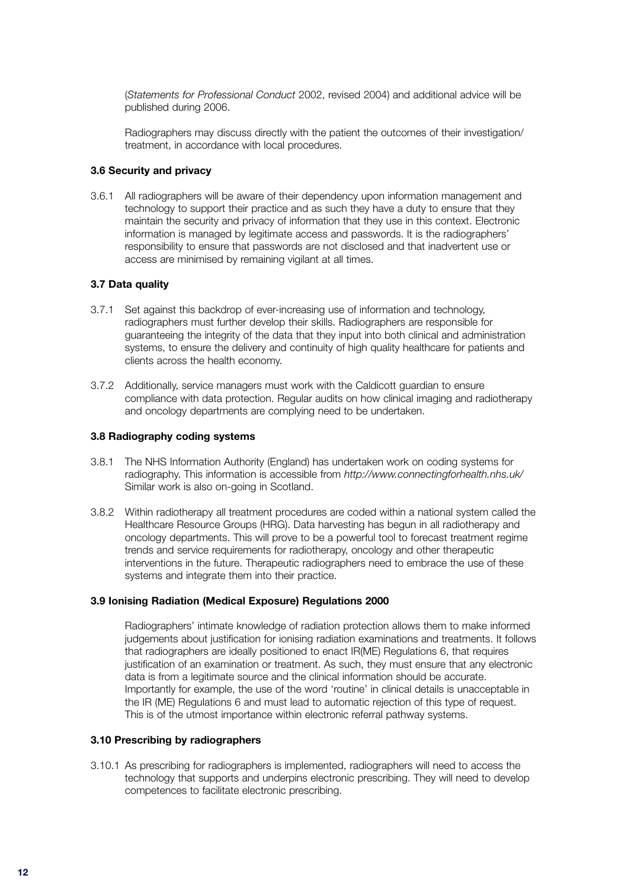(*Statements for Professional Conduct* 2002, revised 2004) and additional advice will be published during 2006.

Radiographers may discuss directly with the patient the outcomes of their investigation/ treatment, in accordance with local procedures.

### **3.6 Security and privacy**

3.6.1 All radiographers will be aware of their dependency upon information management and technology to support their practice and as such they have a duty to ensure that they maintain the security and privacy of information that they use in this context. Electronic information is managed by legitimate access and passwords. It is the radiographers' responsibility to ensure that passwords are not disclosed and that inadvertent use or access are minimised by remaining vigilant at all times.

#### **3.7 Data quality**

- 3.7.1 Set against this backdrop of ever-increasing use of information and technology, radiographers must further develop their skills. Radiographers are responsible for guaranteeing the integrity of the data that they input into both clinical and administration systems, to ensure the delivery and continuity of high quality healthcare for patients and clients across the health economy.
- 3.7.2 Additionally, service managers must work with the Caldicott guardian to ensure compliance with data protection. Regular audits on how clinical imaging and radiotherapy and oncology departments are complying need to be undertaken.

### **3.8 Radiography coding systems**

- 3.8.1 The NHS Information Authority (England) has undertaken work on coding systems for radiography. This information is accessible from *http://www.connectingforhealth.nhs.uk/* Similar work is also on-going in Scotland.
- 3.8.2 Within radiotherapy all treatment procedures are coded within a national system called the Healthcare Resource Groups (HRG). Data harvesting has begun in all radiotherapy and oncology departments. This will prove to be a powerful tool to forecast treatment regime trends and service requirements for radiotherapy, oncology and other therapeutic interventions in the future. Therapeutic radiographers need to embrace the use of these systems and integrate them into their practice.

#### **3.9 Ionising Radiation (Medical Exposure) Regulations 2000**

Radiographers' intimate knowledge of radiation protection allows them to make informed judgements about justification for ionising radiation examinations and treatments. It follows that radiographers are ideally positioned to enact IR(ME) Regulations 6, that requires justification of an examination or treatment. As such, they must ensure that any electronic data is from a legitimate source and the clinical information should be accurate. Importantly for example, the use of the word 'routine' in clinical details is unacceptable in the IR (ME) Regulations 6 and must lead to automatic rejection of this type of request. This is of the utmost importance within electronic referral pathway systems.

#### **3.10 Prescribing by radiographers**

3.10.1 As prescribing for radiographers is implemented, radiographers will need to access the technology that supports and underpins electronic prescribing. They will need to develop competences to facilitate electronic prescribing.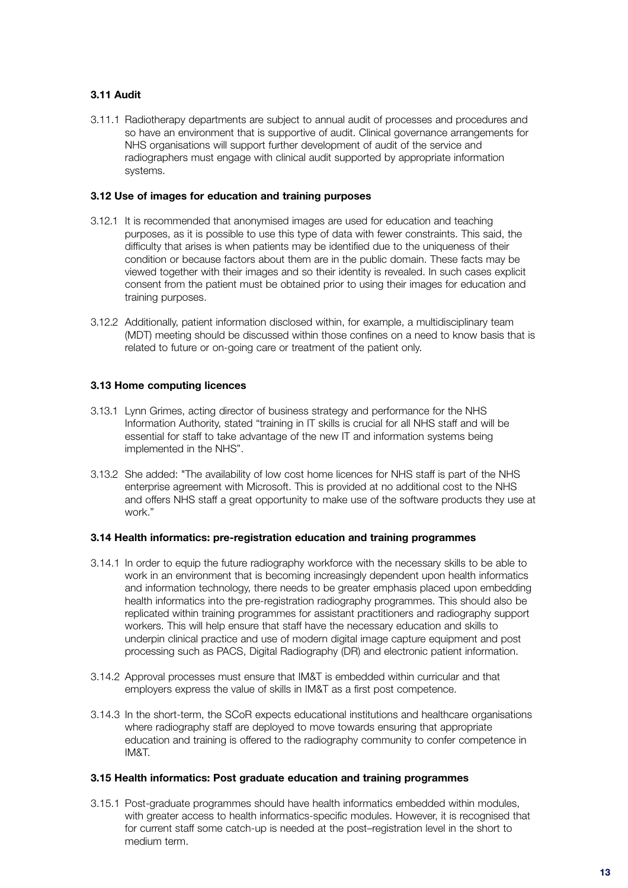## **3.11 Audit**

3.11.1 Radiotherapy departments are subject to annual audit of processes and procedures and so have an environment that is supportive of audit. Clinical governance arrangements for NHS organisations will support further development of audit of the service and radiographers must engage with clinical audit supported by appropriate information systems.

#### **3.12 Use of images for education and training purposes**

- 3.12.1 It is recommended that anonymised images are used for education and teaching purposes, as it is possible to use this type of data with fewer constraints. This said, the difficulty that arises is when patients may be identified due to the uniqueness of their condition or because factors about them are in the public domain. These facts may be viewed together with their images and so their identity is revealed. In such cases explicit consent from the patient must be obtained prior to using their images for education and training purposes.
- 3.12.2 Additionally, patient information disclosed within, for example, a multidisciplinary team (MDT) meeting should be discussed within those confines on a need to know basis that is related to future or on-going care or treatment of the patient only.

#### **3.13 Home computing licences**

- 3.13.1 Lynn Grimes, acting director of business strategy and performance for the NHS Information Authority, stated "training in IT skills is crucial for all NHS staff and will be essential for staff to take advantage of the new IT and information systems being implemented in the NHS".
- 3.13.2 She added: "The availability of low cost home licences for NHS staff is part of the NHS enterprise agreement with Microsoft. This is provided at no additional cost to the NHS and offers NHS staff a great opportunity to make use of the software products they use at work."

#### **3.14 Health informatics: pre-registration education and training programmes**

- 3.14.1 In order to equip the future radiography workforce with the necessary skills to be able to work in an environment that is becoming increasingly dependent upon health informatics and information technology, there needs to be greater emphasis placed upon embedding health informatics into the pre-registration radiography programmes. This should also be replicated within training programmes for assistant practitioners and radiography support workers. This will help ensure that staff have the necessary education and skills to underpin clinical practice and use of modern digital image capture equipment and post processing such as PACS, Digital Radiography (DR) and electronic patient information.
- 3.14.2 Approval processes must ensure that IM&T is embedded within curricular and that employers express the value of skills in IM&T as a first post competence.
- 3.14.3 In the short-term, the SCoR expects educational institutions and healthcare organisations where radiography staff are deployed to move towards ensuring that appropriate education and training is offered to the radiography community to confer competence in IM&T.

#### **3.15 Health informatics: Post graduate education and training programmes**

3.15.1 Post-graduate programmes should have health informatics embedded within modules, with greater access to health informatics-specific modules. However, it is recognised that for current staff some catch-up is needed at the post–registration level in the short to medium term.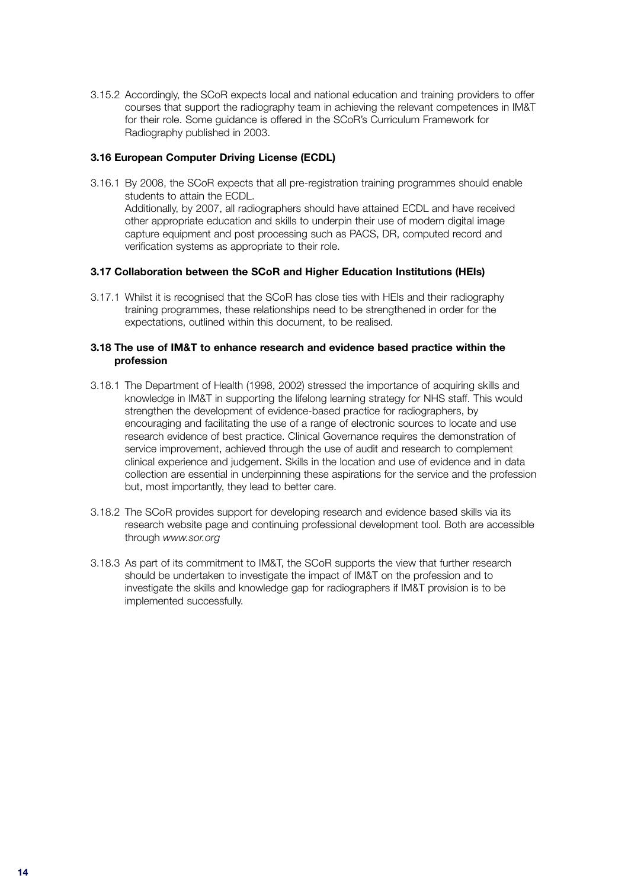3.15.2 Accordingly, the SCoR expects local and national education and training providers to offer courses that support the radiography team in achieving the relevant competences in IM&T for their role. Some guidance is offered in the SCoR's Curriculum Framework for Radiography published in 2003.

### **3.16 European Computer Driving License (ECDL)**

3.16.1 By 2008, the SCoR expects that all pre-registration training programmes should enable students to attain the ECDL. Additionally, by 2007, all radiographers should have attained ECDL and have received other appropriate education and skills to underpin their use of modern digital image capture equipment and post processing such as PACS, DR, computed record and verification systems as appropriate to their role.

#### **3.17 Collaboration between the SCoR and Higher Education Institutions (HEIs)**

3.17.1 Whilst it is recognised that the SCoR has close ties with HEIs and their radiography training programmes, these relationships need to be strengthened in order for the expectations, outlined within this document, to be realised.

#### **3.18 The use of IM&T to enhance research and evidence based practice within the profession**

- 3.18.1 The Department of Health (1998, 2002) stressed the importance of acquiring skills and knowledge in IM&T in supporting the lifelong learning strategy for NHS staff. This would strengthen the development of evidence-based practice for radiographers, by encouraging and facilitating the use of a range of electronic sources to locate and use research evidence of best practice. Clinical Governance requires the demonstration of service improvement, achieved through the use of audit and research to complement clinical experience and judgement. Skills in the location and use of evidence and in data collection are essential in underpinning these aspirations for the service and the profession but, most importantly, they lead to better care.
- 3.18.2 The SCoR provides support for developing research and evidence based skills via its research website page and continuing professional development tool. Both are accessible through *www.sor.org*
- 3.18.3 As part of its commitment to IM&T, the SCoR supports the view that further research should be undertaken to investigate the impact of IM&T on the profession and to investigate the skills and knowledge gap for radiographers if IM&T provision is to be implemented successfully.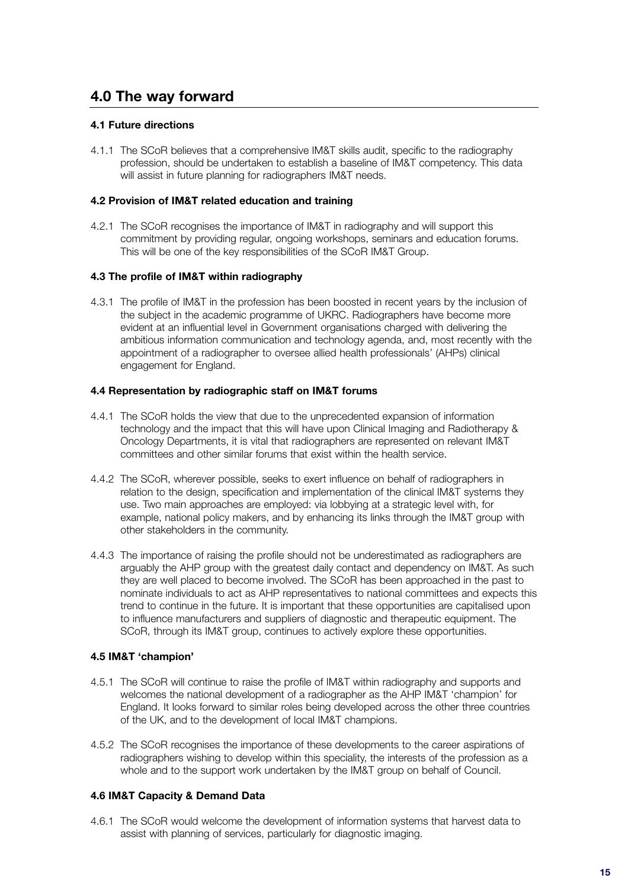## **4.0 The way forward**

### **4.1 Future directions**

4.1.1 The SCoR believes that a comprehensive IM&T skills audit, specific to the radiography profession, should be undertaken to establish a baseline of IM&T competency. This data will assist in future planning for radiographers IM&T needs.

#### **4.2 Provision of IM&T related education and training**

4.2.1 The SCoR recognises the importance of IM&T in radiography and will support this commitment by providing regular, ongoing workshops, seminars and education forums. This will be one of the key responsibilities of the SCoR IM&T Group.

#### **4.3 The profile of IM&T within radiography**

4.3.1 The profile of IM&T in the profession has been boosted in recent years by the inclusion of the subject in the academic programme of UKRC. Radiographers have become more evident at an influential level in Government organisations charged with delivering the ambitious information communication and technology agenda, and, most recently with the appointment of a radiographer to oversee allied health professionals' (AHPs) clinical engagement for England.

#### **4.4 Representation by radiographic staff on IM&T forums**

- 4.4.1 The SCoR holds the view that due to the unprecedented expansion of information technology and the impact that this will have upon Clinical Imaging and Radiotherapy & Oncology Departments, it is vital that radiographers are represented on relevant IM&T committees and other similar forums that exist within the health service.
- 4.4.2 The SCoR, wherever possible, seeks to exert influence on behalf of radiographers in relation to the design, specification and implementation of the clinical IM&T systems they use. Two main approaches are employed: via lobbying at a strategic level with, for example, national policy makers, and by enhancing its links through the IM&T group with other stakeholders in the community.
- 4.4.3 The importance of raising the profile should not be underestimated as radiographers are arguably the AHP group with the greatest daily contact and dependency on IM&T. As such they are well placed to become involved. The SCoR has been approached in the past to nominate individuals to act as AHP representatives to national committees and expects this trend to continue in the future. It is important that these opportunities are capitalised upon to influence manufacturers and suppliers of diagnostic and therapeutic equipment. The SCoR, through its IM&T group, continues to actively explore these opportunities.

### **4.5 IM&T 'champion'**

- 4.5.1 The SCoR will continue to raise the profile of IM&T within radiography and supports and welcomes the national development of a radiographer as the AHP IM&T 'champion' for England. It looks forward to similar roles being developed across the other three countries of the UK, and to the development of local IM&T champions.
- 4.5.2 The SCoR recognises the importance of these developments to the career aspirations of radiographers wishing to develop within this speciality, the interests of the profession as a whole and to the support work undertaken by the IM&T group on behalf of Council.

### **4.6 IM&T Capacity & Demand Data**

4.6.1 The SCoR would welcome the development of information systems that harvest data to assist with planning of services, particularly for diagnostic imaging.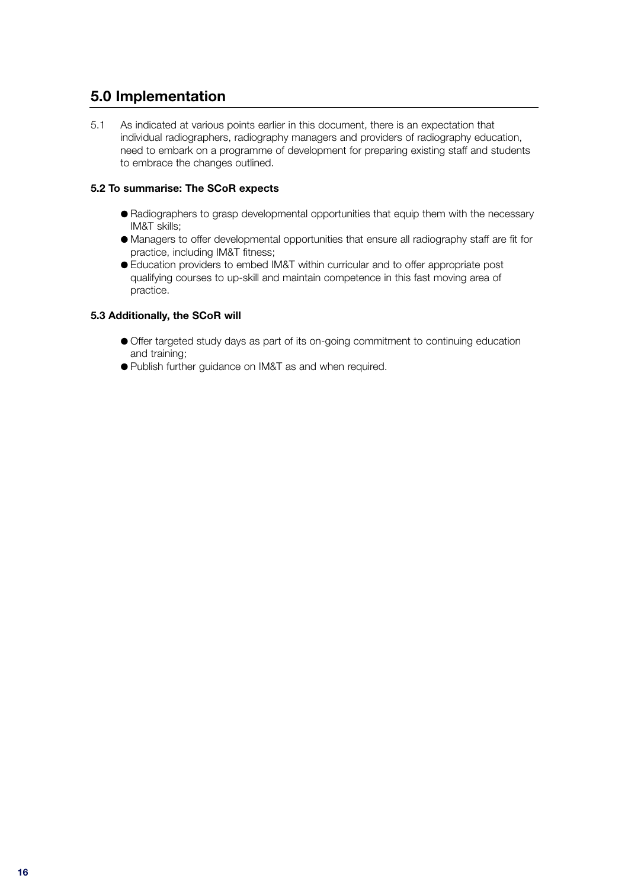## **5.0 Implementation**

5.1 As indicated at various points earlier in this document, there is an expectation that individual radiographers, radiography managers and providers of radiography education, need to embark on a programme of development for preparing existing staff and students to embrace the changes outlined.

### **5.2 To summarise: The SCoR expects**

- Radiographers to grasp developmental opportunities that equip them with the necessary IM&T skills;
- Managers to offer developmental opportunities that ensure all radiography staff are fit for practice, including IM&T fitness;
- Education providers to embed IM&T within curricular and to offer appropriate post qualifying courses to up-skill and maintain competence in this fast moving area of practice.

## **5.3 Additionally, the SCoR will**

- Offer targeted study days as part of its on-going commitment to continuing education and training;
- Publish further guidance on IM&T as and when required.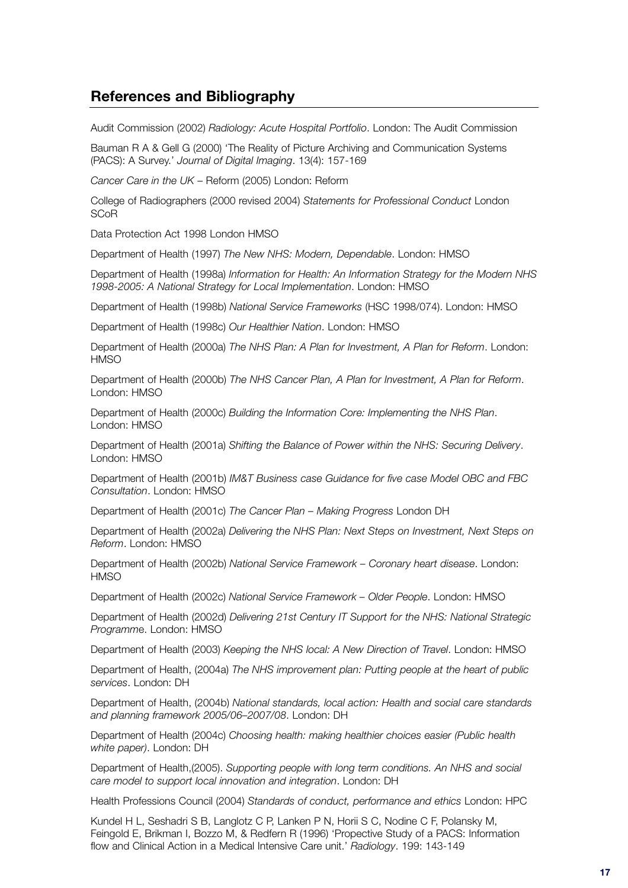## **References and Bibliography**

Audit Commission (2002) *Radiology: Acute Hospital Portfolio*. London: The Audit Commission

Bauman R A & Gell G (2000) 'The Reality of Picture Archiving and Communication Systems (PACS): A Survey.' *Journal of Digital Imaging*. 13(4): 157-169

*Cancer Care in the UK* – Reform (2005) London: Reform

College of Radiographers (2000 revised 2004) *Statements for Professional Conduct* London **SCoR** 

Data Protection Act 1998 London HMSO

Department of Health (1997) *The New NHS: Modern, Dependable*. London: HMSO

Department of Health (1998a) *Information for Health: An Information Strategy for the Modern NHS 1998-2005: A National Strategy for Local Implementation*. London: HMSO

Department of Health (1998b) *National Service Frameworks* (HSC 1998/074). London: HMSO

Department of Health (1998c) *Our Healthier Nation*. London: HMSO

Department of Health (2000a) *The NHS Plan: A Plan for Investment, A Plan for Reform*. London: HMSO

Department of Health (2000b) *The NHS Cancer Plan, A Plan for Investment, A Plan for Reform*. London: HMSO

Department of Health (2000c) *Building the Information Core: Implementing the NHS Plan*. London: HMSO

Department of Health (2001a) *Shifting the Balance of Power within the NHS: Securing Delivery*. London: HMSO

Department of Health (2001b) *IM&T Business case Guidance for five case Model OBC and FBC Consultation*. London: HMSO

Department of Health (2001c) *The Cancer Plan – Making Progress* London DH

Department of Health (2002a) *Delivering the NHS Plan: Next Steps on Investment, Next Steps on Reform*. London: HMSO

Department of Health (2002b) *National Service Framework – Coronary heart disease*. London: **HMSO** 

Department of Health (2002c) *National Service Framework – Older People*. London: HMSO

Department of Health (2002d) *Delivering 21st Century IT Support for the NHS: National Strategic Programm*e. London: HMSO

Department of Health (2003) *Keeping the NHS local: A New Direction of Travel*. London: HMSO

Department of Health, (2004a) *The NHS improvement plan: Putting people at the heart of public services*. London: DH

Department of Health, (2004b) *National standards, local action: Health and social care standards and planning framework 2005/06–2007/08*. London: DH

Department of Health (2004c) *Choosing health: making healthier choices easier (Public health white paper)*. London: DH

Department of Health,(2005). *Supporting people with long term conditions. An NHS and social care model to support local innovation and integration*. London: DH

Health Professions Council (2004) *Standards of conduct, performance and ethics* London: HPC

Kundel H L, Seshadri S B, Langlotz C P, Lanken P N, Horii S C, Nodine C F, Polansky M, Feingold E, Brikman I, Bozzo M, & Redfern R (1996) 'Propective Study of a PACS: Information flow and Clinical Action in a Medical Intensive Care unit.' *Radiology*. 199: 143-149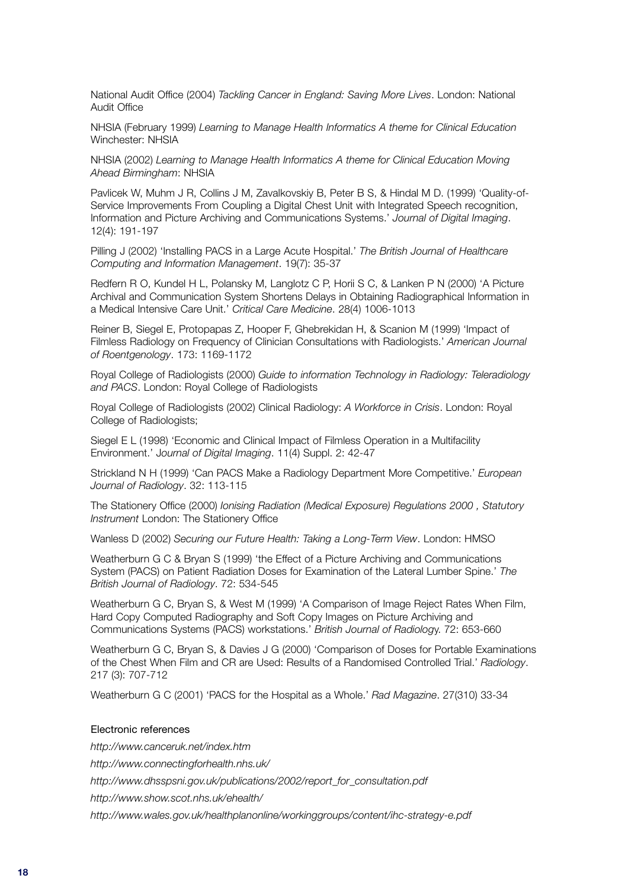National Audit Office (2004) *Tackling Cancer in England: Saving More Lives*. London: National Audit Office

NHSIA (February 1999) *Learning to Manage Health Informatics A theme for Clinical Education* Winchester: NHSIA

NHSIA (2002) *Learning to Manage Health Informatics A theme for Clinical Education Moving Ahead Birmingham*: NHSIA

Pavlicek W, Muhm J R, Collins J M, Zavalkovskiy B, Peter B S, & Hindal M D. (1999) 'Quality-of-Service Improvements From Coupling a Digital Chest Unit with Integrated Speech recognition, Information and Picture Archiving and Communications Systems.' *Journal of Digital Imaging*. 12(4): 191-197

Pilling J (2002) 'Installing PACS in a Large Acute Hospital.' *The British Journal of Healthcare Computing and Information Management*. 19(7): 35-37

Redfern R O, Kundel H L, Polansky M, Langlotz C P, Horii S C, & Lanken P N (2000) 'A Picture Archival and Communication System Shortens Delays in Obtaining Radiographical Information in a Medical Intensive Care Unit.' *Critical Care Medicine*. 28(4) 1006-1013

Reiner B, Siegel E, Protopapas Z, Hooper F, Ghebrekidan H, & Scanion M (1999) 'Impact of Filmless Radiology on Frequency of Clinician Consultations with Radiologists.' *American Journal of Roentgenology*. 173: 1169-1172

Royal College of Radiologists (2000) *Guide to information Technology in Radiology: Teleradiology and PACS*. London: Royal College of Radiologists

Royal College of Radiologists (2002) Clinical Radiology: *A Workforce in Crisis*. London: Royal College of Radiologists;

Siegel E L (1998) 'Economic and Clinical Impact of Filmless Operation in a Multifacility Environment.' J*ournal of Digital Imaging*. 11(4) Suppl. 2: 42-47

Strickland N H (1999) 'Can PACS Make a Radiology Department More Competitive.' *European Journal of Radiology*. 32: 113-115

The Stationery Office (2000) *Ionising Radiation (Medical Exposure) Regulations 2000 , Statutory Instrument* London: The Stationery Office

Wanless D (2002) *Securing our Future Health: Taking a Long-Term View*. London: HMSO

Weatherburn G C & Bryan S (1999) 'the Effect of a Picture Archiving and Communications System (PACS) on Patient Radiation Doses for Examination of the Lateral Lumber Spine.' *The British Journal of Radiology*. 72: 534-545

Weatherburn G C, Bryan S, & West M (1999) 'A Comparison of Image Reject Rates When Film, Hard Copy Computed Radiography and Soft Copy Images on Picture Archiving and Communications Systems (PACS) workstations.' *British Journal of Radiolog*y. 72: 653-660

Weatherburn G C, Bryan S, & Davies J G (2000) 'Comparison of Doses for Portable Examinations of the Chest When Film and CR are Used: Results of a Randomised Controlled Trial.' *Radiology*. 217 (3): 707-712

Weatherburn G C (2001) 'PACS for the Hospital as a Whole.' *Rad Magazine*. 27(310) 33-34

#### Electronic references

*http://www.canceruk.net/index.htm*

*http://www.connectingforhealth.nhs.uk/*

*http://www.dhsspsni.gov.uk/publications/2002/report\_for\_consultation.pdf*

*http://www.show.scot.nhs.uk/ehealth/*

*http://www.wales.gov.uk/healthplanonline/workinggroups/content/ihc-strategy-e.pdf*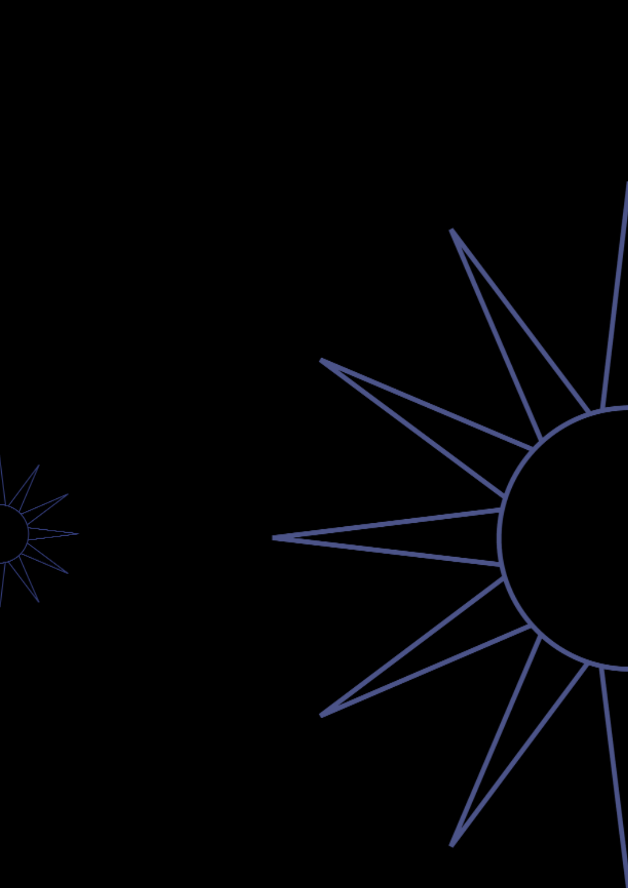